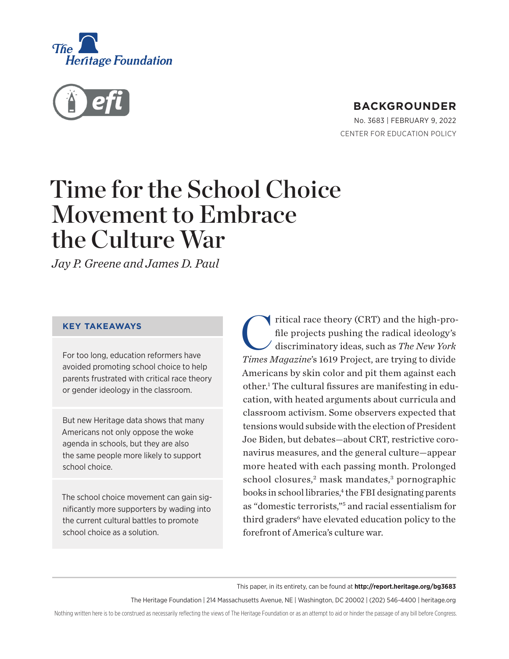<span id="page-0-0"></span>



# **BACKGROUNDER**

No. 3683 | February 9, 2022 CENTER FOR EDUCATION POLICY

# Time for the School Choice Movement to Embrace the Culture War

*Jay P. Greene and James D. Paul*

#### **KEY TAKEAWAYS**

For too long, education reformers have avoided promoting school choice to help parents frustrated with critical race theory or gender ideology in the classroom.

But new Heritage data shows that many Americans not only oppose the woke agenda in schools, but they are also the same people more likely to support school choice.

The school choice movement can gain significantly more supporters by wading into the current cultural battles to promote school choice as a solution.

ritical race theory (CRT) and the high-profile projects pushing the radical ideology's discriminatory ideas, such as *The New York Times Magazine*'s 1619 Project, are trying to divide Americans by skin color and pit them against each other.<sup>1</sup> The cultural fissures are manifesting in education, with heated arguments about curricula and classroom activism. Some observers expected that tensions would subside with the election of President Joe Biden, but debates—about CRT, restrictive coronavirus measures, and the general culture—appear more heated with each passing month. Prolonged school closures,<sup>[2](#page-13-0)</sup> mask mandates,<sup>[3](#page-13-0)</sup> pornographic books in school libraries,<sup>4</sup> the FBI designating parents as "domestic terrorists,["5](#page-13-0) and racial essentialism for third graders<sup>[6](#page-13-0)</sup> have elevated education policy to the forefront of America's culture war.

#### This paper, in its entirety, can be found at **http://report.heritage.org/bg3683**

The Heritage Foundation | 214 Massachusetts Avenue, NE | Washington, DC 20002 | (202) 546-4400 | [heritage.org](https://www.hhs.gov/about/news/2018/09/24/statement-from-the-department-of-health-and-human-services.html)

Nothing written here is to be construed as necessarily reflecting the views of The Heritage Foundation or as an attempt to aid or hinder the passage of any bill before Congress.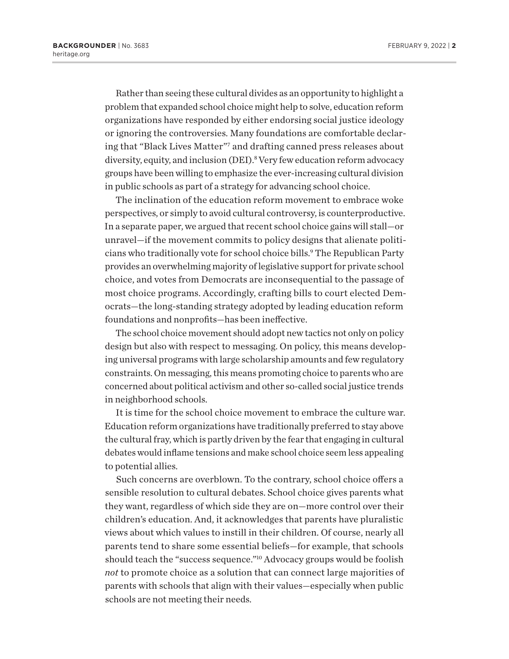<span id="page-1-0"></span>Rather than seeing these cultural divides as an opportunity to highlight a problem that expanded school choice might help to solve, education reform organizations have responded by either endorsing social justice ideology or ignoring the controversies. Many foundations are comfortable declaring that "Black Lives Matter"[7](#page-13-0) and drafting canned press releases about diversity, equity, and inclusion (DEI).<sup>[8](#page-13-0)</sup> Very few education reform advocacy groups have been willing to emphasize the ever-increasing cultural division in public schools as part of a strategy for advancing school choice.

The inclination of the education reform movement to embrace woke perspectives, or simply to avoid cultural controversy, is counterproductive. In a separate paper, we argued that recent school choice gains will stall—or unravel—if the movement commits to policy designs that alienate politicians who traditionally vote for school choice bills.<sup>9</sup> The Republican Party provides an overwhelming majority of legislative support for private school choice, and votes from Democrats are inconsequential to the passage of most choice programs. Accordingly, crafting bills to court elected Democrats—the long-standing strategy adopted by leading education reform foundations and nonprofits—has been ineffective.

The school choice movement should adopt new tactics not only on policy design but also with respect to messaging. On policy, this means developing universal programs with large scholarship amounts and few regulatory constraints. On messaging, this means promoting choice to parents who are concerned about political activism and other so-called social justice trends in neighborhood schools.

It is time for the school choice movement to embrace the culture war. Education reform organizations have traditionally preferred to stay above the cultural fray, which is partly driven by the fear that engaging in cultural debates would inflame tensions and make school choice seem less appealing to potential allies.

Such concerns are overblown. To the contrary, school choice offers a sensible resolution to cultural debates. School choice gives parents what they want, regardless of which side they are on—more control over their children's education. And, it acknowledges that parents have pluralistic views about which values to instill in their children. Of course, nearly all parents tend to share some essential beliefs—for example, that schools should teach the "success sequence."[10](#page-13-0) Advocacy groups would be foolish *not* to promote choice as a solution that can connect large majorities of parents with schools that align with their values—especially when public schools are not meeting their needs.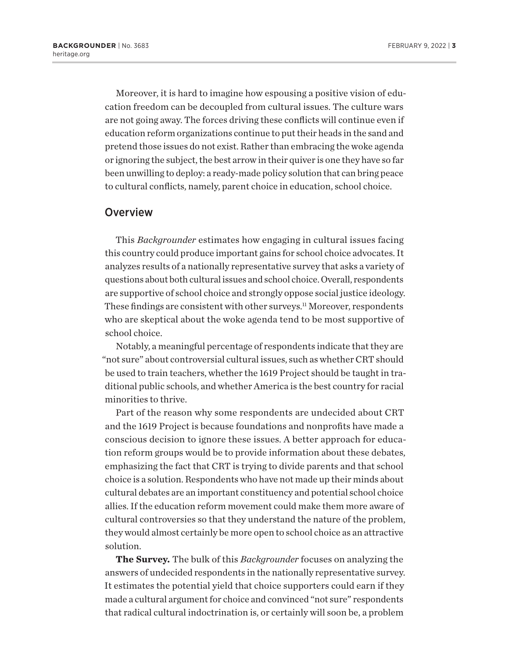<span id="page-2-0"></span>Moreover, it is hard to imagine how espousing a positive vision of education freedom can be decoupled from cultural issues. The culture wars are not going away. The forces driving these conflicts will continue even if education reform organizations continue to put their heads in the sand and pretend those issues do not exist. Rather than embracing the woke agenda or ignoring the subject, the best arrow in their quiver is one they have so far been unwilling to deploy: a ready-made policy solution that can bring peace to cultural conflicts, namely, parent choice in education, school choice.

#### **Overview**

This *Backgrounder* estimates how engaging in cultural issues facing this country could produce important gains for school choice advocates. It analyzes results of a nationally representative survey that asks a variety of questions about both cultural issues and school choice. Overall, respondents are supportive of school choice and strongly oppose social justice ideology. These findings are consistent with other surveys.<sup>[11](#page-13-0)</sup> Moreover, respondents who are skeptical about the woke agenda tend to be most supportive of school choice.

Notably, a meaningful percentage of respondents indicate that they are "not sure" about controversial cultural issues, such as whether CRT should be used to train teachers, whether the 1619 Project should be taught in traditional public schools, and whether America is the best country for racial minorities to thrive.

Part of the reason why some respondents are undecided about CRT and the 1619 Project is because foundations and nonprofits have made a conscious decision to ignore these issues. A better approach for education reform groups would be to provide information about these debates, emphasizing the fact that CRT is trying to divide parents and that school choice is a solution. Respondents who have not made up their minds about cultural debates are an important constituency and potential school choice allies. If the education reform movement could make them more aware of cultural controversies so that they understand the nature of the problem, they would almost certainly be more open to school choice as an attractive solution.

**The Survey.** The bulk of this *Backgrounder* focuses on analyzing the answers of undecided respondents in the nationally representative survey. It estimates the potential yield that choice supporters could earn if they made a cultural argument for choice and convinced "not sure" respondents that radical cultural indoctrination is, or certainly will soon be, a problem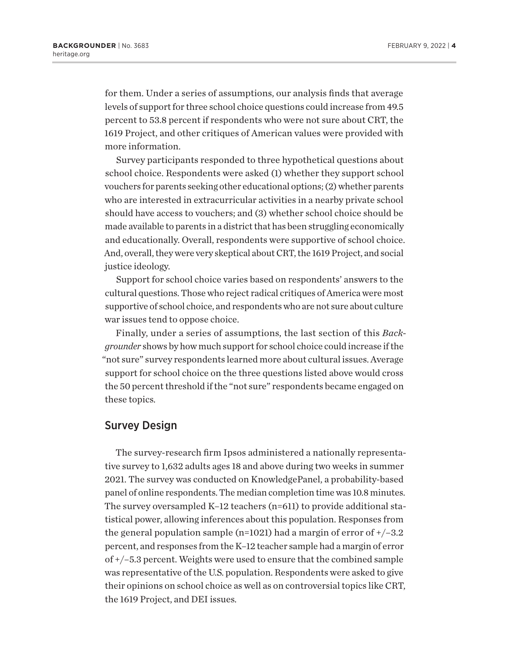for them. Under a series of assumptions, our analysis finds that average levels of support for three school choice questions could increase from 49.5 percent to 53.8 percent if respondents who were not sure about CRT, the 1619 Project, and other critiques of American values were provided with more information.

Survey participants responded to three hypothetical questions about school choice. Respondents were asked (1) whether they support school vouchers for parents seeking other educational options; (2) whether parents who are interested in extracurricular activities in a nearby private school should have access to vouchers; and (3) whether school choice should be made available to parents in a district that has been struggling economically and educationally. Overall, respondents were supportive of school choice. And, overall, they were very skeptical about CRT, the 1619 Project, and social justice ideology.

Support for school choice varies based on respondents' answers to the cultural questions. Those who reject radical critiques of America were most supportive of school choice, and respondents who are not sure about culture war issues tend to oppose choice.

Finally, under a series of assumptions, the last section of this *Backgrounder* shows by how much support for school choice could increase if the "not sure" survey respondents learned more about cultural issues. Average support for school choice on the three questions listed above would cross the 50 percent threshold if the "not sure" respondents became engaged on these topics.

#### Survey Design

The survey-research firm Ipsos administered a nationally representative survey to 1,632 adults ages 18 and above during two weeks in summer 2021. The survey was conducted on KnowledgePanel, a probability-based panel of online respondents. The median completion time was 10.8 minutes. The survey oversampled K–12 teachers (n=611) to provide additional statistical power, allowing inferences about this population. Responses from the general population sample (n=1021) had a margin of error of  $+/-3.2$ percent, and responses from the K–12 teacher sample had a margin of error of +/–5.3 percent. Weights were used to ensure that the combined sample was representative of the U.S. population. Respondents were asked to give their opinions on school choice as well as on controversial topics like CRT, the 1619 Project, and DEI issues.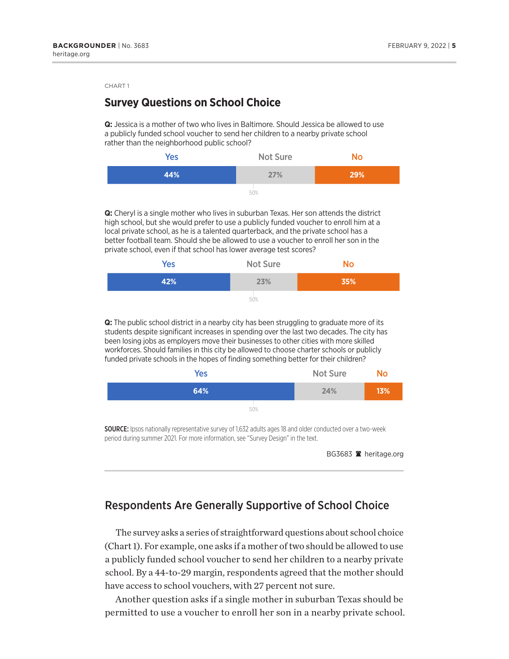### **Survey Questions on School Choice**

**Q:** Jessica is a mother of two who lives in Baltimore. Should Jessica be allowed to use a publicly funded school voucher to send her children to a nearby private school rather than the neighborhood public school?



**Q:** Cheryl is a single mother who lives in suburban Texas. Her son attends the district high school, but she would prefer to use a publicly funded voucher to enroll him at a local private school, as he is a talented quarterback, and the private school has a better football team. Should she be allowed to use a voucher to enroll her son in the private school, even if that school has lower average test scores?

| <b>Yes</b> | <b>Not Sure</b> | No  |
|------------|-----------------|-----|
| 42%        | 23%             | 35% |
|            | 50%             |     |

**Q:** The public school district in a nearby city has been struggling to graduate more of its students despite significant increases in spending over the last two decades. The city has been losing jobs as employers move their businesses to other cities with more skilled workforces. Should families in this city be allowed to choose charter schools or publicly funded private schools in the hopes of finding something better for their children?

| <b>Yes</b> | <b>Not Sure</b> | <b>No</b> |
|------------|-----------------|-----------|
| 64%        | 24%             | 13%       |
| 50%        |                 |           |

SOURCE: Ipsos nationally representative survey of 1,632 adults ages 18 and older conducted over a two-week period during summer 2021. For more information, see "Survey Design" in the text.

BG3683 <sup>a</sup> heritage.org

### Respondents Are Generally Supportive of School Choice

The survey asks a series of straightforward questions about school choice (Chart 1). For example, one asks if a mother of two should be allowed to use a publicly funded school voucher to send her children to a nearby private school. By a 44-to-29 margin, respondents agreed that the mother should have access to school vouchers, with 27 percent not sure.

Another question asks if a single mother in suburban Texas should be permitted to use a voucher to enroll her son in a nearby private school.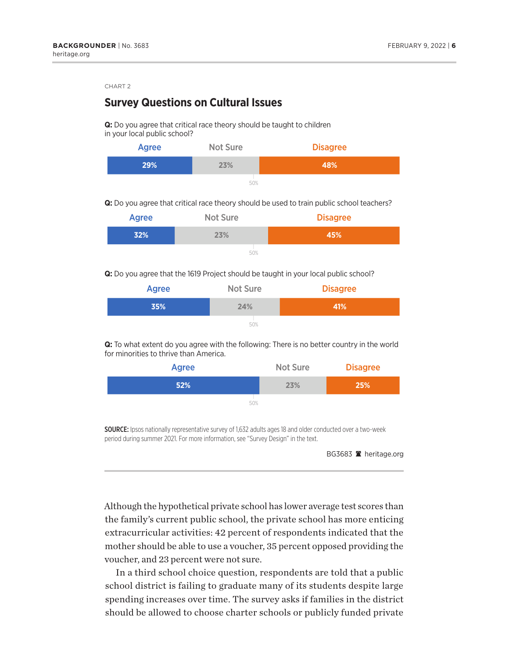### **Survey Questions on Cultural Issues**

**Q:** Do you agree that critical race theory should be taught to children in your local public school?

| <b>Agree</b> | <b>Not Sure</b> | <b>Disagree</b> |
|--------------|-----------------|-----------------|
| 29%          | 23%             | 48%             |
|              | 50%             |                 |

**Q:** Do you agree that critical race theory should be used to train public school teachers?

| <b>Agree</b> | <b>Not Sure</b> | <b>Disagree</b> |
|--------------|-----------------|-----------------|
| 32%          | 23%             | 45%             |
|              | 50%             |                 |

**Q:** Do you agree that the 1619 Project should be taught in your local public school?

| <b>Agree</b> | <b>Not Sure</b> | <b>Disagree</b> |
|--------------|-----------------|-----------------|
| 35%          | 24%             | 41%             |
|              | 50%             |                 |

**Q:** To what extent do you agree with the following: There is no better country in the world for minorities to thrive than America.

| Agree | <b>Not Sure</b> | <b>Disagree</b> |
|-------|-----------------|-----------------|
| 52%   | 23%             | 25%             |
| 50%   |                 |                 |

SOURCE: Ipsos nationally representative survey of 1,632 adults ages 18 and older conducted over a two-week period during summer 2021. For more information, see "Survey Design" in the text.

Although the hypothetical private school has lower average test scores than the family's current public school, the private school has more enticing extracurricular activities: 42 percent of respondents indicated that the mother should be able to use a voucher, 35 percent opposed providing the voucher, and 23 percent were not sure.

In a third school choice question, respondents are told that a public school district is failing to graduate many of its students despite large spending increases over time. The survey asks if families in the district should be allowed to choose charter schools or publicly funded private

BG3683 <sup>a</sup> heritage.org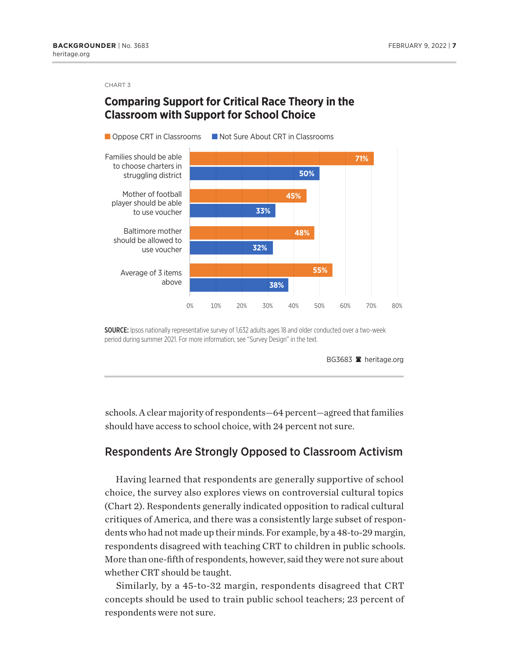### **Comparing Support for Critical Race Theory in the Classroom with Support for School Choice**



SOURCE: Ipsos nationally representative survey of 1,632 adults ages 18 and older conducted over a two-week period during summer 2021. For more information, see "Survey Design" in the text.

BG3683 **A** heritage.org

schools. A clear majority of respondents—64 percent—agreed that families should have access to school choice, with 24 percent not sure.

#### Respondents Are Strongly Opposed to Classroom Activism

Having learned that respondents are generally supportive of school choice, the survey also explores views on controversial cultural topics (Chart 2). Respondents generally indicated opposition to radical cultural critiques of America, and there was a consistently large subset of respondents who had not made up their minds. For example, by a 48-to-29 margin, respondents disagreed with teaching CRT to children in public schools. More than one-fifth of respondents, however, said they were not sure about whether CRT should be taught.

Similarly, by a 45-to-32 margin, respondents disagreed that CRT concepts should be used to train public school teachers; 23 percent of respondents were not sure.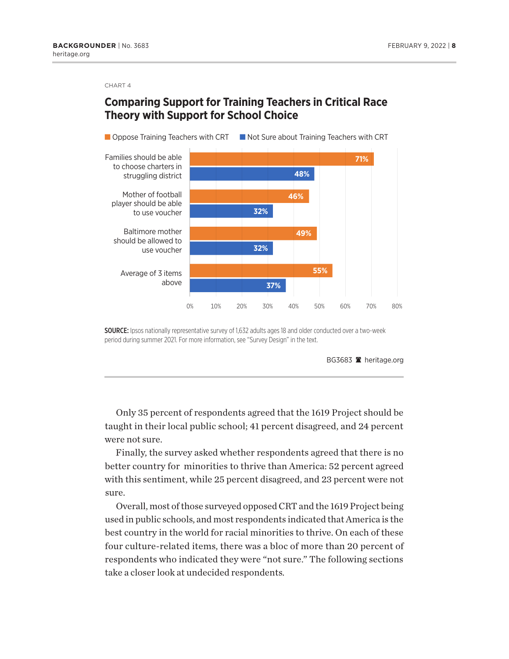# **Comparing Support for Training Teachers in Critical Race Theory with Support for School Choice**



SOURCE: Ipsos nationally representative survey of 1,632 adults ages 18 and older conducted over a two-week period during summer 2021. For more information, see "Survey Design" in the text.

BG3683 <sup>a</sup> heritage.org

Only 35 percent of respondents agreed that the 1619 Project should be taught in their local public school; 41 percent disagreed, and 24 percent were not sure.

Finally, the survey asked whether respondents agreed that there is no better country for minorities to thrive than America: 52 percent agreed with this sentiment, while 25 percent disagreed, and 23 percent were not sure.

Overall, most of those surveyed opposed CRT and the 1619 Project being used in public schools, and most respondents indicated that America is the best country in the world for racial minorities to thrive. On each of these four culture-related items, there was a bloc of more than 20 percent of respondents who indicated they were "not sure." The following sections take a closer look at undecided respondents.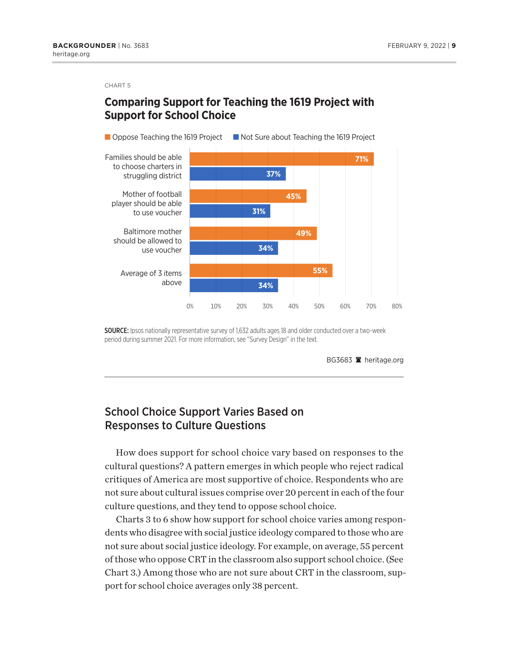### **Comparing Support for Teaching the 1619 Project with Support for School Choice**



SOURCE: Ipsos nationally representative survey of 1,632 adults ages 18 and older conducted over a two-week period during summer 2021. For more information, see "Survey Design" in the text.

BG3683 **A** heritage.org

### School Choice Support Varies Based on Responses to Culture Questions

How does support for school choice vary based on responses to the cultural questions? A pattern emerges in which people who reject radical critiques of America are most supportive of choice. Respondents who are not sure about cultural issues comprise over 20 percent in each of the four culture questions, and they tend to oppose school choice.

Charts 3 to 6 show how support for school choice varies among respondents who disagree with social justice ideology compared to those who are not sure about social justice ideology. For example, on average, 55 percent of those who oppose CRT in the classroom also support school choice. (See Chart 3.) Among those who are not sure about CRT in the classroom, support for school choice averages only 38 percent.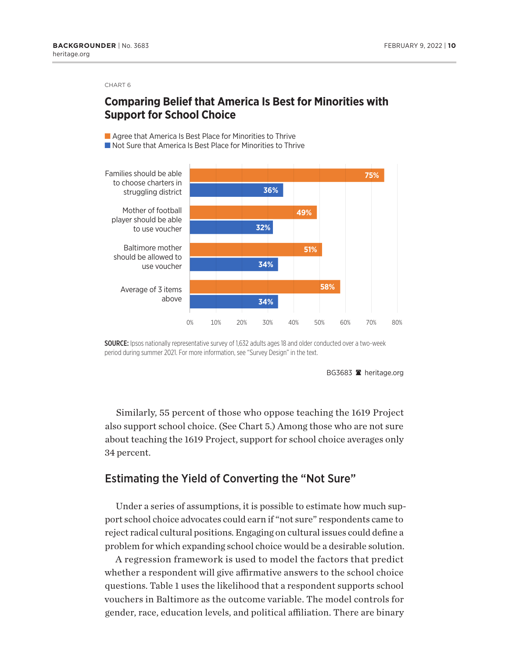# **Comparing Belief that America Is Best for Minorities with Support for School Choice**

■ Agree that America Is Best Place for Minorities to Thrive



SOURCE: Ipsos nationally representative survey of 1,632 adults ages 18 and older conducted over a two-week period during summer 2021. For more information, see "Survey Design" in the text.

BG3683 **A** heritage.org

Similarly, 55 percent of those who oppose teaching the 1619 Project also support school choice. (See Chart 5.) Among those who are not sure about teaching the 1619 Project, support for school choice averages only 34 percent.

#### Estimating the Yield of Converting the "Not Sure"

Under a series of assumptions, it is possible to estimate how much support school choice advocates could earn if "not sure" respondents came to reject radical cultural positions. Engaging on cultural issues could define a problem for which expanding school choice would be a desirable solution.

A regression framework is used to model the factors that predict whether a respondent will give affirmative answers to the school choice questions. Table 1 uses the likelihood that a respondent supports school vouchers in Baltimore as the outcome variable. The model controls for gender, race, education levels, and political affiliation. There are binary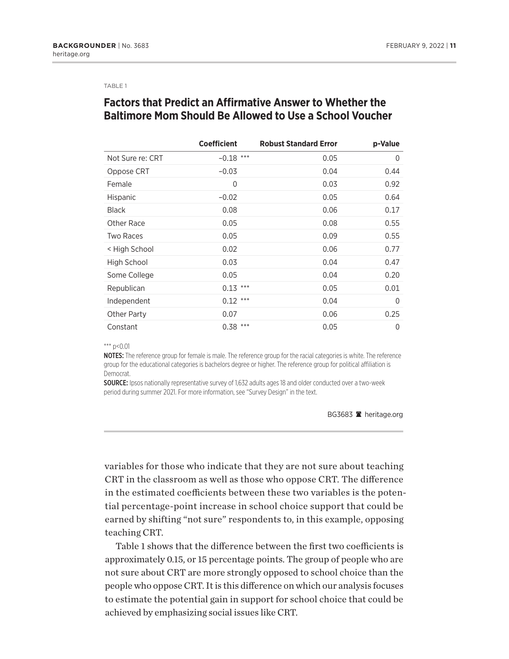#### TABLE 1

# **Factors that Predict an Affirmative Answer to Whether the Baltimore Mom Should Be Allowed to Use a School Voucher**

|                  | <b>Coefficient</b> | <b>Robust Standard Error</b> | p-Value      |
|------------------|--------------------|------------------------------|--------------|
| Not Sure re: CRT | $***$<br>$-0.18$   | 0.05                         | $\Omega$     |
| Oppose CRT       | $-0.03$            | 0.04                         | 0.44         |
| Female           | 0                  | 0.03                         | 0.92         |
| <b>Hispanic</b>  | $-0.02$            | 0.05                         | 0.64         |
| <b>Black</b>     | 0.08               | 0.06                         | 0.17         |
| Other Race       | 0.05               | 0.08                         | 0.55         |
| <b>Two Races</b> | 0.05               | 0.09                         | 0.55         |
| < High School    | 0.02               | 0.06                         | 0.77         |
| High School      | 0.03               | 0.04                         | 0.47         |
| Some College     | 0.05               | 0.04                         | 0.20         |
| Republican       | ***<br>0.13        | 0.05                         | 0.01         |
| Independent      | $0.12$ ***         | 0.04                         | $\Omega$     |
| Other Party      | 0.07               | 0.06                         | 0.25         |
| Constant         | ***<br>0.38        | 0.05                         | $\mathbf{0}$ |

 $***$  p<0.01

NOTES: The reference group for female is male. The reference group for the racial categories is white. The reference group for the educational categories is bachelors degree or higher. The reference group for political affiliation is Democrat.

SOURCE: Ipsos nationally representative survey of 1,632 adults ages 18 and older conducted over a two-week period during summer 2021. For more information, see "Survey Design" in the text.

BG3683 **A** heritage.org

variables for those who indicate that they are not sure about teaching CRT in the classroom as well as those who oppose CRT. The difference in the estimated coefficients between these two variables is the potential percentage-point increase in school choice support that could be earned by shifting "not sure" respondents to, in this example, opposing teaching CRT.

Table 1 shows that the difference between the first two coefficients is approximately 0.15, or 15 percentage points. The group of people who are not sure about CRT are more strongly opposed to school choice than the people who oppose CRT. It is this difference on which our analysis focuses to estimate the potential gain in support for school choice that could be achieved by emphasizing social issues like CRT.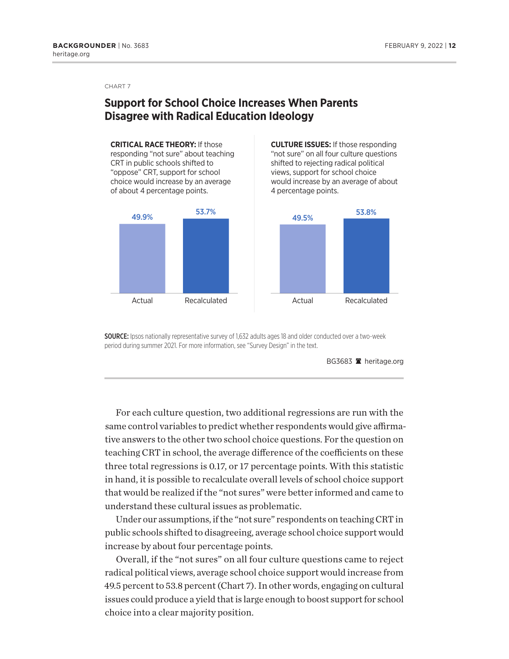# **Support for School Choice Increases When Parents Disagree with Radical Education Ideology**

**CRITICAL RACE THEORY:** If those responding "not sure" about teaching CRT in public schools shifted to "oppose" CRT, support for school choice would increase by an average of about 4 percentage points.



**CULTURE ISSUES:** If those responding "not sure" on all four culture questions shifted to rejecting radical political views, support for school choice would increase by an average of about 4 percentage points.



SOURCE: Ipsos nationally representative survey of 1,632 adults ages 18 and older conducted over a two-week period during summer 2021. For more information, see "Survey Design" in the text.



For each culture question, two additional regressions are run with the same control variables to predict whether respondents would give affirmative answers to the other two school choice questions. For the question on teaching CRT in school, the average difference of the coefficients on these three total regressions is 0.17, or 17 percentage points. With this statistic in hand, it is possible to recalculate overall levels of school choice support that would be realized if the "not sures" were better informed and came to understand these cultural issues as problematic.

Under our assumptions, if the "not sure" respondents on teaching CRT in public schools shifted to disagreeing, average school choice support would increase by about four percentage points.

Overall, if the "not sures" on all four culture questions came to reject radical political views, average school choice support would increase from 49.5 percent to 53.8 percent (Chart 7). In other words, engaging on cultural issues could produce a yield that is large enough to boost support for school choice into a clear majority position.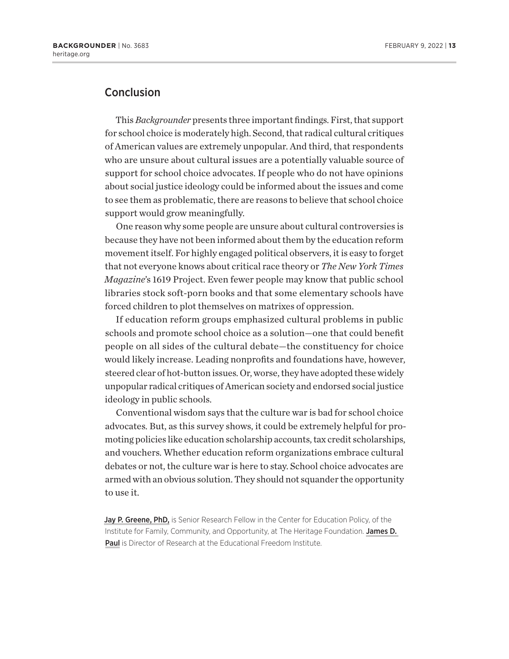### Conclusion

This *Backgrounder* presents three important findings. First, that support for school choice is moderately high. Second, that radical cultural critiques of American values are extremely unpopular. And third, that respondents who are unsure about cultural issues are a potentially valuable source of support for school choice advocates. If people who do not have opinions about social justice ideology could be informed about the issues and come to see them as problematic, there are reasons to believe that school choice support would grow meaningfully.

One reason why some people are unsure about cultural controversies is because they have not been informed about them by the education reform movement itself. For highly engaged political observers, it is easy to forget that not everyone knows about critical race theory or *The New York Times Magazine*'s 1619 Project. Even fewer people may know that public school libraries stock soft-porn books and that some elementary schools have forced children to plot themselves on matrixes of oppression.

If education reform groups emphasized cultural problems in public schools and promote school choice as a solution—one that could benefit people on all sides of the cultural debate—the constituency for choice would likely increase. Leading nonprofits and foundations have, however, steered clear of hot-button issues. Or, worse, they have adopted these widely unpopular radical critiques of American society and endorsed social justice ideology in public schools.

Conventional wisdom says that the culture war is bad for school choice advocates. But, as this survey shows, it could be extremely helpful for promoting policies like education scholarship accounts, tax credit scholarships, and vouchers. Whether education reform organizations embrace cultural debates or not, the culture war is here to stay. School choice advocates are armed with an obvious solution. They should not squander the opportunity to use it.

Jay P. Greene, PhD, is Senior Research Fellow in the Center for Education Policy, of the Institute for Family, Community, and Opportunity, at The Heritage Foundation. James D. Paul is Director of Research at the Educational Freedom Institute.